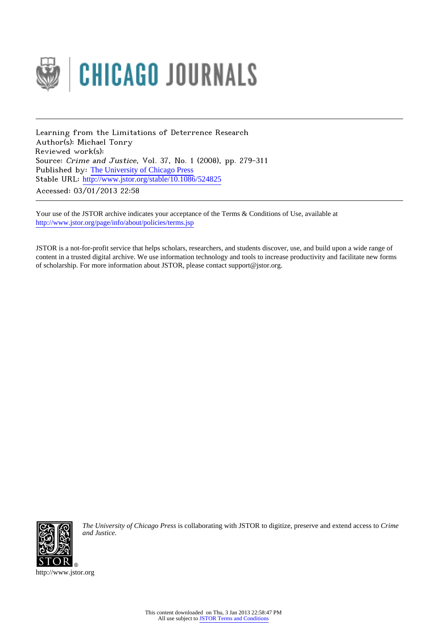

Learning from the Limitations of Deterrence Research Author(s): Michael Tonry Reviewed work(s): Source: Crime and Justice, Vol. 37, No. 1 (2008), pp. 279-311 Published by: [The University of Chicago Press](http://www.jstor.org/action/showPublisher?publisherCode=ucpress) Stable URL: http://www.jstor.org/stable/10.1086/524825 Accessed: 03/01/2013 22:58

Your use of the JSTOR archive indicates your acceptance of the Terms & Conditions of Use, available at <http://www.jstor.org/page/info/about/policies/terms.jsp>

JSTOR is a not-for-profit service that helps scholars, researchers, and students discover, use, and build upon a wide range of content in a trusted digital archive. We use information technology and tools to increase productivity and facilitate new forms of scholarship. For more information about JSTOR, please contact support@jstor.org.



*The University of Chicago Press* is collaborating with JSTOR to digitize, preserve and extend access to *Crime and Justice.*

http://www.jstor.org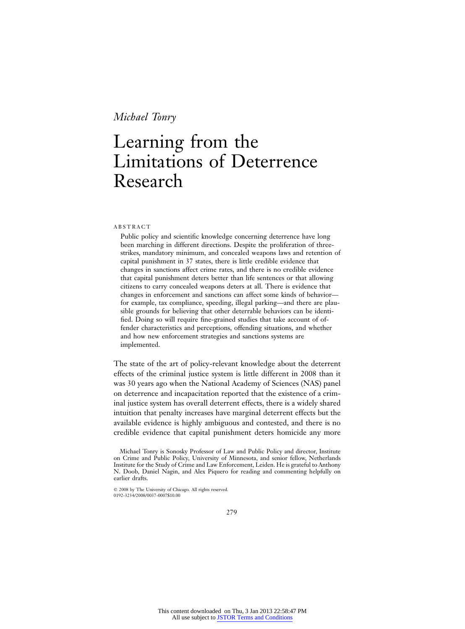# Learning from the Limitations of Deterrence Research

#### ABSTRACT

Public policy and scientific knowledge concerning deterrence have long been marching in different directions. Despite the proliferation of threestrikes, mandatory minimum, and concealed weapons laws and retention of capital punishment in 37 states, there is little credible evidence that changes in sanctions affect crime rates, and there is no credible evidence that capital punishment deters better than life sentences or that allowing citizens to carry concealed weapons deters at all. There is evidence that changes in enforcement and sanctions can affect some kinds of behavior for example, tax compliance, speeding, illegal parking—and there are plausible grounds for believing that other deterrable behaviors can be identified. Doing so will require fine-grained studies that take account of offender characteristics and perceptions, offending situations, and whether and how new enforcement strategies and sanctions systems are implemented.

The state of the art of policy-relevant knowledge about the deterrent effects of the criminal justice system is little different in 2008 than it was 30 years ago when the National Academy of Sciences (NAS) panel on deterrence and incapacitation reported that the existence of a criminal justice system has overall deterrent effects, there is a widely shared intuition that penalty increases have marginal deterrent effects but the available evidence is highly ambiguous and contested, and there is no credible evidence that capital punishment deters homicide any more

Michael Tonry is Sonosky Professor of Law and Public Policy and director, Institute on Crime and Public Policy, University of Minnesota, and senior fellow, Netherlands Institute for the Study of Crime and Law Enforcement, Leiden. He is grateful to Anthony N. Doob, Daniel Nagin, and Alex Piquero for reading and commenting helpfully on earlier drafts.

2008 by The University of Chicago. All rights reserved. 0192-3234/2008/0037-0007\$10.00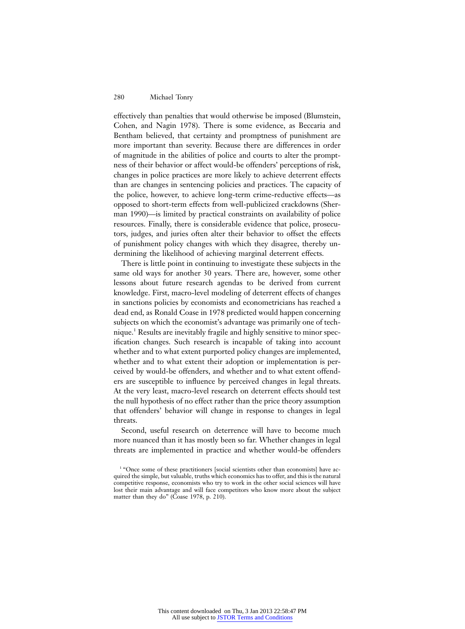effectively than penalties that would otherwise be imposed (Blumstein, Cohen, and Nagin 1978). There is some evidence, as Beccaria and Bentham believed, that certainty and promptness of punishment are more important than severity. Because there are differences in order of magnitude in the abilities of police and courts to alter the promptness of their behavior or affect would-be offenders' perceptions of risk, changes in police practices are more likely to achieve deterrent effects than are changes in sentencing policies and practices. The capacity of the police, however, to achieve long-term crime-reductive effects—as opposed to short-term effects from well-publicized crackdowns (Sherman 1990)—is limited by practical constraints on availability of police resources. Finally, there is considerable evidence that police, prosecutors, judges, and juries often alter their behavior to offset the effects of punishment policy changes with which they disagree, thereby undermining the likelihood of achieving marginal deterrent effects.

There is little point in continuing to investigate these subjects in the same old ways for another 30 years. There are, however, some other lessons about future research agendas to be derived from current knowledge. First, macro-level modeling of deterrent effects of changes in sanctions policies by economists and econometricians has reached a dead end, as Ronald Coase in 1978 predicted would happen concerning subjects on which the economist's advantage was primarily one of technique.<sup>1</sup> Results are inevitably fragile and highly sensitive to minor specification changes. Such research is incapable of taking into account whether and to what extent purported policy changes are implemented, whether and to what extent their adoption or implementation is perceived by would-be offenders, and whether and to what extent offenders are susceptible to influence by perceived changes in legal threats. At the very least, macro-level research on deterrent effects should test the null hypothesis of no effect rather than the price theory assumption that offenders' behavior will change in response to changes in legal threats.

Second, useful research on deterrence will have to become much more nuanced than it has mostly been so far. Whether changes in legal threats are implemented in practice and whether would-be offenders

<sup>&</sup>lt;sup>1</sup> "Once some of these practitioners [social scientists other than economists] have acquired the simple, but valuable, truths which economics has to offer, and this is the natural competitive response, economists who try to work in the other social sciences will have lost their main advantage and will face competitors who know more about the subject matter than they do" (Coase 1978, p. 210).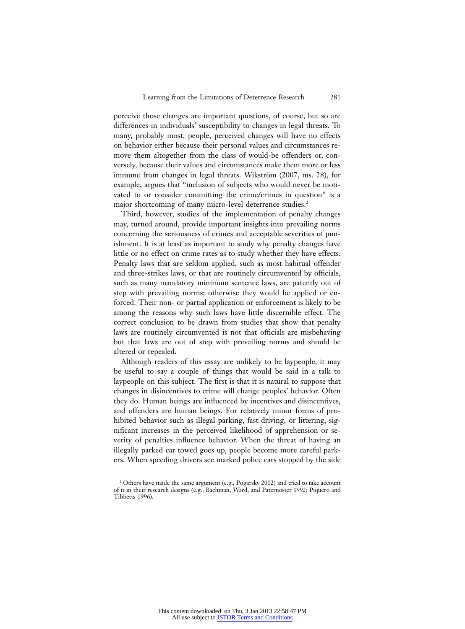perceive those changes are important questions, of course, but so are differences in individuals' susceptibility to changes in legal threats. To many, probably most, people, perceived changes will have no effects on behavior either because their personal values and circumstances remove them altogether from the class of would-be offenders or, conversely, because their values and circumstances make them more or less immune from changes in legal threats. Wikström (2007, ms. 28), for example, argues that "inclusion of subjects who would never be motivated to or consider committing the crime/crimes in question" is a major shortcoming of many micro-level deterrence studies.<sup>2</sup>

Third, however, studies of the implementation of penalty changes may, turned around, provide important insights into prevailing norms concerning the seriousness of crimes and acceptable severities of punishment. It is at least as important to study why penalty changes have little or no effect on crime rates as to study whether they have effects. Penalty laws that are seldom applied, such as most habitual offender and three-strikes laws, or that are routinely circumvented by officials, such as many mandatory minimum sentence laws, are patently out of step with prevailing norms; otherwise they would be applied or enforced. Their non- or partial application or enforcement is likely to be among the reasons why such laws have little discernible effect. The correct conclusion to be drawn from studies that show that penalty laws are routinely circumvented is not that officials are misbehaving but that laws are out of step with prevailing norms and should be altered or repealed.

Although readers of this essay are unlikely to be laypeople, it may be useful to say a couple of things that would be said in a talk to laypeople on this subject. The first is that it is natural to suppose that changes in disincentives to crime will change peoples' behavior. Often they do. Human beings are influenced by incentives and disincentives, and offenders are human beings. For relatively minor forms of prohibited behavior such as illegal parking, fast driving, or littering, significant increases in the perceived likelihood of apprehension or severity of penalties influence behavior. When the threat of having an illegally parked car towed goes up, people become more careful parkers. When speeding drivers see marked police cars stopped by the side

<sup>2</sup> Others have made the same argument (e.g., Pogarsky 2002) and tried to take account of it in their research designs (e.g., Bachman, Ward, and Paternoster 1992; Piquero and Tibbetts 1996).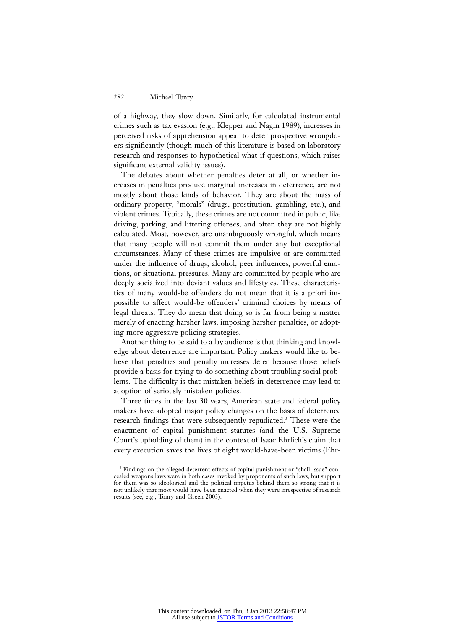of a highway, they slow down. Similarly, for calculated instrumental crimes such as tax evasion (e.g., Klepper and Nagin 1989), increases in perceived risks of apprehension appear to deter prospective wrongdoers significantly (though much of this literature is based on laboratory research and responses to hypothetical what-if questions, which raises significant external validity issues).

The debates about whether penalties deter at all, or whether increases in penalties produce marginal increases in deterrence, are not mostly about those kinds of behavior. They are about the mass of ordinary property, "morals" (drugs, prostitution, gambling, etc.), and violent crimes. Typically, these crimes are not committed in public, like driving, parking, and littering offenses, and often they are not highly calculated. Most, however, are unambiguously wrongful, which means that many people will not commit them under any but exceptional circumstances. Many of these crimes are impulsive or are committed under the influence of drugs, alcohol, peer influences, powerful emotions, or situational pressures. Many are committed by people who are deeply socialized into deviant values and lifestyles. These characteristics of many would-be offenders do not mean that it is a priori impossible to affect would-be offenders' criminal choices by means of legal threats. They do mean that doing so is far from being a matter merely of enacting harsher laws, imposing harsher penalties, or adopting more aggressive policing strategies.

Another thing to be said to a lay audience is that thinking and knowledge about deterrence are important. Policy makers would like to believe that penalties and penalty increases deter because those beliefs provide a basis for trying to do something about troubling social problems. The difficulty is that mistaken beliefs in deterrence may lead to adoption of seriously mistaken policies.

Three times in the last 30 years, American state and federal policy makers have adopted major policy changes on the basis of deterrence research findings that were subsequently repudiated.<sup>3</sup> These were the enactment of capital punishment statutes (and the U.S. Supreme Court's upholding of them) in the context of Isaac Ehrlich's claim that every execution saves the lives of eight would-have-been victims (Ehr-

<sup>3</sup> Findings on the alleged deterrent effects of capital punishment or "shall-issue" concealed weapons laws were in both cases invoked by proponents of such laws, but support for them was so ideological and the political impetus behind them so strong that it is not unlikely that most would have been enacted when they were irrespective of research results (see, e.g., Tonry and Green 2003).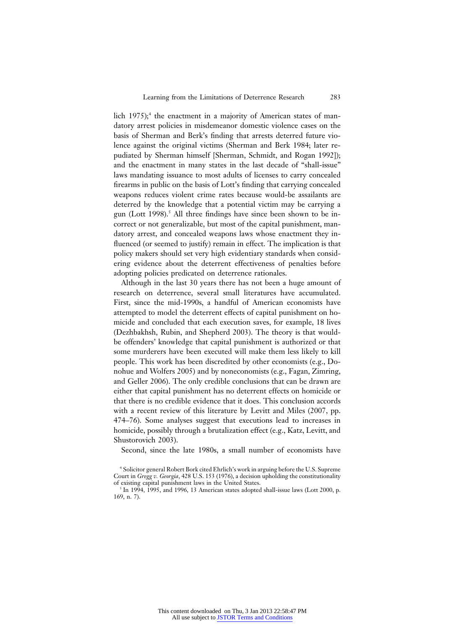lich  $1975$ ;<sup>4</sup> the enactment in a majority of American states of mandatory arrest policies in misdemeanor domestic violence cases on the basis of Sherman and Berk's finding that arrests deterred future violence against the original victims (Sherman and Berk 1984; later repudiated by Sherman himself [Sherman, Schmidt, and Rogan 1992]); and the enactment in many states in the last decade of "shall-issue" laws mandating issuance to most adults of licenses to carry concealed firearms in public on the basis of Lott's finding that carrying concealed weapons reduces violent crime rates because would-be assailants are deterred by the knowledge that a potential victim may be carrying a gun (Lott 1998).<sup>5</sup> All three findings have since been shown to be incorrect or not generalizable, but most of the capital punishment, mandatory arrest, and concealed weapons laws whose enactment they influenced (or seemed to justify) remain in effect. The implication is that policy makers should set very high evidentiary standards when considering evidence about the deterrent effectiveness of penalties before adopting policies predicated on deterrence rationales.

Although in the last 30 years there has not been a huge amount of research on deterrence, several small literatures have accumulated. First, since the mid-1990s, a handful of American economists have attempted to model the deterrent effects of capital punishment on homicide and concluded that each execution saves, for example, 18 lives (Dezhbakhsh, Rubin, and Shepherd 2003). The theory is that wouldbe offenders' knowledge that capital punishment is authorized or that some murderers have been executed will make them less likely to kill people. This work has been discredited by other economists (e.g., Donohue and Wolfers 2005) and by noneconomists (e.g., Fagan, Zimring, and Geller 2006). The only credible conclusions that can be drawn are either that capital punishment has no deterrent effects on homicide or that there is no credible evidence that it does. This conclusion accords with a recent review of this literature by Levitt and Miles (2007, pp. 474–76). Some analyses suggest that executions lead to increases in homicide, possibly through a brutalization effect (e.g., Katz, Levitt, and Shustorovich 2003).

Second, since the late 1980s, a small number of economists have

<sup>4</sup> Solicitor general Robert Bork cited Ehrlich's work in arguing before the U.S. Supreme Court in *Gregg v. Georgia*, 428 U.S. 153 (1976), a decision upholding the constitutionality of existing capital punishment laws in the United States.

<sup>5</sup> In 1994, 1995, and 1996, 13 American states adopted shall-issue laws (Lott 2000, p. 169, n. 7).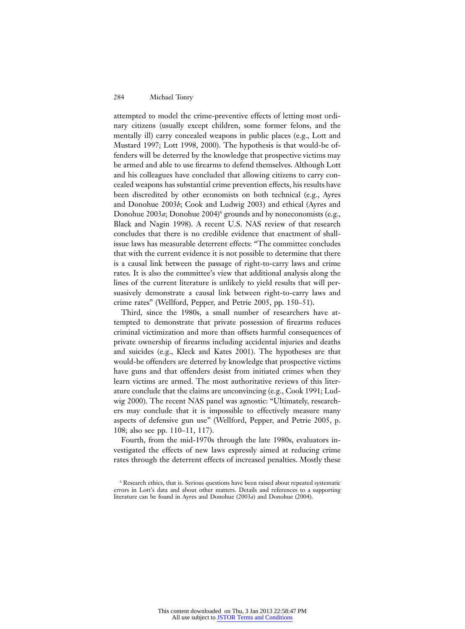attempted to model the crime-preventive effects of letting most ordinary citizens (usually except children, some former felons, and the mentally ill) carry concealed weapons in public places (e.g., Lott and Mustard 1997; Lott 1998, 2000). The hypothesis is that would-be offenders will be deterred by the knowledge that prospective victims may be armed and able to use firearms to defend themselves. Although Lott and his colleagues have concluded that allowing citizens to carry concealed weapons has substantial crime prevention effects, his results have been discredited by other economists on both technical (e.g., Ayres and Donohue 2003*b*; Cook and Ludwig 2003) and ethical (Ayres and Donohue 2003*a*; Donohue 2004)<sup>6</sup> grounds and by noneconomists (e.g., Black and Nagin 1998). A recent U.S. NAS review of that research concludes that there is no credible evidence that enactment of shallissue laws has measurable deterrent effects: "The committee concludes that with the current evidence it is not possible to determine that there is a causal link between the passage of right-to-carry laws and crime rates. It is also the committee's view that additional analysis along the lines of the current literature is unlikely to yield results that will persuasively demonstrate a causal link between right-to-carry laws and crime rates" (Wellford, Pepper, and Petrie 2005, pp. 150–51).

Third, since the 1980s, a small number of researchers have attempted to demonstrate that private possession of firearms reduces criminal victimization and more than offsets harmful consequences of private ownership of firearms including accidental injuries and deaths and suicides (e.g., Kleck and Kates 2001). The hypotheses are that would-be offenders are deterred by knowledge that prospective victims have guns and that offenders desist from initiated crimes when they learn victims are armed. The most authoritative reviews of this literature conclude that the claims are unconvincing (e.g., Cook 1991; Ludwig 2000). The recent NAS panel was agnostic: "Ultimately, researchers may conclude that it is impossible to effectively measure many aspects of defensive gun use" (Wellford, Pepper, and Petrie 2005, p. 108; also see pp. 110–11, 117).

Fourth, from the mid-1970s through the late 1980s, evaluators investigated the effects of new laws expressly aimed at reducing crime rates through the deterrent effects of increased penalties. Mostly these

<sup>6</sup> Research ethics, that is. Serious questions have been raised about repeated systematic errors in Lott's data and about other matters. Details and references to a supporting literature can be found in Ayres and Donohue (2003*a*) and Donohue (2004).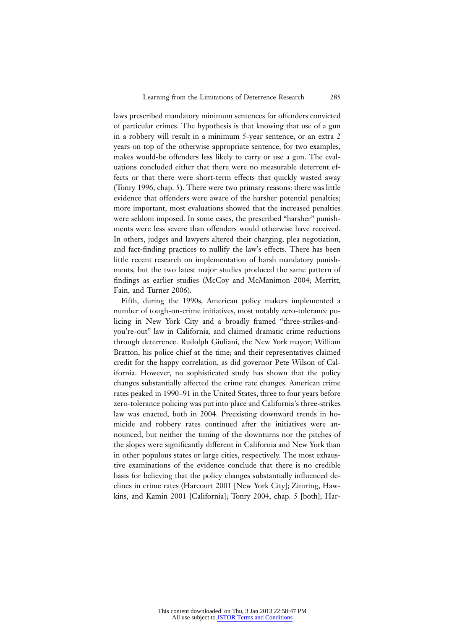laws prescribed mandatory minimum sentences for offenders convicted of particular crimes. The hypothesis is that knowing that use of a gun in a robbery will result in a minimum 5-year sentence, or an extra 2 years on top of the otherwise appropriate sentence, for two examples, makes would-be offenders less likely to carry or use a gun. The evaluations concluded either that there were no measurable deterrent effects or that there were short-term effects that quickly wasted away (Tonry 1996, chap. 5). There were two primary reasons: there was little evidence that offenders were aware of the harsher potential penalties; more important, most evaluations showed that the increased penalties were seldom imposed. In some cases, the prescribed "harsher" punishments were less severe than offenders would otherwise have received. In others, judges and lawyers altered their charging, plea negotiation, and fact-finding practices to nullify the law's effects. There has been little recent research on implementation of harsh mandatory punishments, but the two latest major studies produced the same pattern of findings as earlier studies (McCoy and McManimon 2004; Merritt, Fain, and Turner 2006).

Fifth, during the 1990s, American policy makers implemented a number of tough-on-crime initiatives, most notably zero-tolerance policing in New York City and a broadly framed "three-strikes-andyou're-out" law in California, and claimed dramatic crime reductions through deterrence. Rudolph Giuliani, the New York mayor; William Bratton, his police chief at the time; and their representatives claimed credit for the happy correlation, as did governor Pete Wilson of California. However, no sophisticated study has shown that the policy changes substantially affected the crime rate changes. American crime rates peaked in 1990–91 in the United States, three to four years before zero-tolerance policing was put into place and California's three-strikes law was enacted, both in 2004. Preexisting downward trends in homicide and robbery rates continued after the initiatives were announced, but neither the timing of the downturns nor the pitches of the slopes were significantly different in California and New York than in other populous states or large cities, respectively. The most exhaustive examinations of the evidence conclude that there is no credible basis for believing that the policy changes substantially influenced declines in crime rates (Harcourt 2001 [New York City]; Zimring, Hawkins, and Kamin 2001 [California]; Tonry 2004, chap. 5 [both]; Har-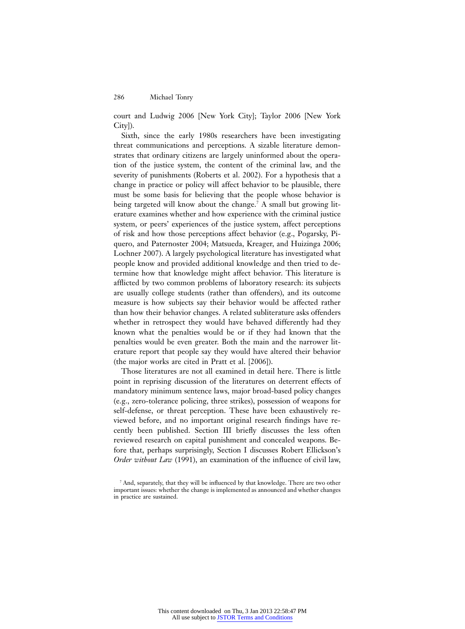court and Ludwig 2006 [New York City]; Taylor 2006 [New York City]).

Sixth, since the early 1980s researchers have been investigating threat communications and perceptions. A sizable literature demonstrates that ordinary citizens are largely uninformed about the operation of the justice system, the content of the criminal law, and the severity of punishments (Roberts et al. 2002). For a hypothesis that a change in practice or policy will affect behavior to be plausible, there must be some basis for believing that the people whose behavior is being targeted will know about the change.<sup>7</sup> A small but growing literature examines whether and how experience with the criminal justice system, or peers' experiences of the justice system, affect perceptions of risk and how those perceptions affect behavior (e.g., Pogarsky, Piquero, and Paternoster 2004; Matsueda, Kreager, and Huizinga 2006; Lochner 2007). A largely psychological literature has investigated what people know and provided additional knowledge and then tried to determine how that knowledge might affect behavior. This literature is afflicted by two common problems of laboratory research: its subjects are usually college students (rather than offenders), and its outcome measure is how subjects say their behavior would be affected rather than how their behavior changes. A related subliterature asks offenders whether in retrospect they would have behaved differently had they known what the penalties would be or if they had known that the penalties would be even greater. Both the main and the narrower literature report that people say they would have altered their behavior (the major works are cited in Pratt et al. [2006]).

Those literatures are not all examined in detail here. There is little point in reprising discussion of the literatures on deterrent effects of mandatory minimum sentence laws, major broad-based policy changes (e.g., zero-tolerance policing, three strikes), possession of weapons for self-defense, or threat perception. These have been exhaustively reviewed before, and no important original research findings have recently been published. Section III briefly discusses the less often reviewed research on capital punishment and concealed weapons. Before that, perhaps surprisingly, Section I discusses Robert Ellickson's *Order without Law* (1991), an examination of the influence of civil law,

<sup>7</sup> And, separately, that they will be influenced by that knowledge. There are two other important issues: whether the change is implemented as announced and whether changes in practice are sustained.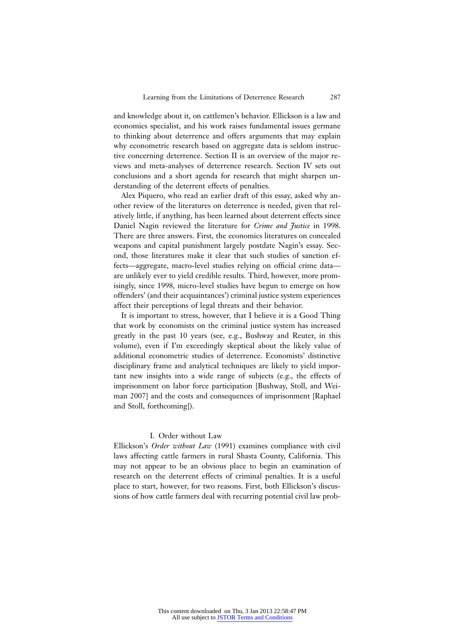and knowledge about it, on cattlemen's behavior. Ellickson is a law and economics specialist, and his work raises fundamental issues germane to thinking about deterrence and offers arguments that may explain why econometric research based on aggregate data is seldom instructive concerning deterrence. Section II is an overview of the major reviews and meta-analyses of deterrence research. Section IV sets out conclusions and a short agenda for research that might sharpen understanding of the deterrent effects of penalties.

Alex Piquero, who read an earlier draft of this essay, asked why another review of the literatures on deterrence is needed, given that relatively little, if anything, has been learned about deterrent effects since Daniel Nagin reviewed the literature for *Crime and Justice* in 1998. There are three answers. First, the economics literatures on concealed weapons and capital punishment largely postdate Nagin's essay. Second, those literatures make it clear that such studies of sanction effects—aggregate, macro-level studies relying on official crime data are unlikely ever to yield credible results. Third, however, more promisingly, since 1998, micro-level studies have begun to emerge on how offenders' (and their acquaintances') criminal justice system experiences affect their perceptions of legal threats and their behavior.

It is important to stress, however, that I believe it is a Good Thing that work by economists on the criminal justice system has increased greatly in the past 10 years (see, e.g., Bushway and Reuter, in this volume), even if I'm exceedingly skeptical about the likely value of additional econometric studies of deterrence. Economists' distinctive disciplinary frame and analytical techniques are likely to yield important new insights into a wide range of subjects (e.g., the effects of imprisonment on labor force participation [Bushway, Stoll, and Weiman 2007] and the costs and consequences of imprisonment [Raphael and Stoll, forthcoming]).

#### I. Order without Law

Ellickson's *Order without Law* (1991) examines compliance with civil laws affecting cattle farmers in rural Shasta County, California. This may not appear to be an obvious place to begin an examination of research on the deterrent effects of criminal penalties. It is a useful place to start, however, for two reasons. First, both Ellickson's discussions of how cattle farmers deal with recurring potential civil law prob-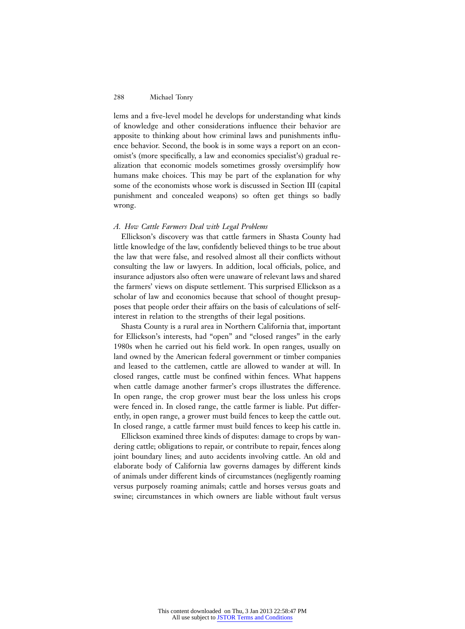lems and a five-level model he develops for understanding what kinds of knowledge and other considerations influence their behavior are apposite to thinking about how criminal laws and punishments influence behavior. Second, the book is in some ways a report on an economist's (more specifically, a law and economics specialist's) gradual realization that economic models sometimes grossly oversimplify how humans make choices. This may be part of the explanation for why some of the economists whose work is discussed in Section III (capital punishment and concealed weapons) so often get things so badly wrong.

#### *A. How Cattle Farmers Deal with Legal Problems*

Ellickson's discovery was that cattle farmers in Shasta County had little knowledge of the law, confidently believed things to be true about the law that were false, and resolved almost all their conflicts without consulting the law or lawyers. In addition, local officials, police, and insurance adjustors also often were unaware of relevant laws and shared the farmers' views on dispute settlement. This surprised Ellickson as a scholar of law and economics because that school of thought presupposes that people order their affairs on the basis of calculations of selfinterest in relation to the strengths of their legal positions.

Shasta County is a rural area in Northern California that, important for Ellickson's interests, had "open" and "closed ranges" in the early 1980s when he carried out his field work. In open ranges, usually on land owned by the American federal government or timber companies and leased to the cattlemen, cattle are allowed to wander at will. In closed ranges, cattle must be confined within fences. What happens when cattle damage another farmer's crops illustrates the difference. In open range, the crop grower must bear the loss unless his crops were fenced in. In closed range, the cattle farmer is liable. Put differently, in open range, a grower must build fences to keep the cattle out. In closed range, a cattle farmer must build fences to keep his cattle in.

Ellickson examined three kinds of disputes: damage to crops by wandering cattle; obligations to repair, or contribute to repair, fences along joint boundary lines; and auto accidents involving cattle. An old and elaborate body of California law governs damages by different kinds of animals under different kinds of circumstances (negligently roaming versus purposely roaming animals; cattle and horses versus goats and swine; circumstances in which owners are liable without fault versus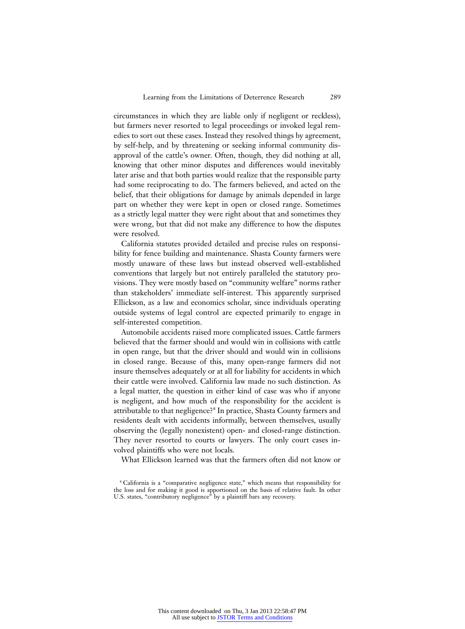circumstances in which they are liable only if negligent or reckless), but farmers never resorted to legal proceedings or invoked legal remedies to sort out these cases. Instead they resolved things by agreement, by self-help, and by threatening or seeking informal community disapproval of the cattle's owner. Often, though, they did nothing at all, knowing that other minor disputes and differences would inevitably later arise and that both parties would realize that the responsible party had some reciprocating to do. The farmers believed, and acted on the belief, that their obligations for damage by animals depended in large part on whether they were kept in open or closed range. Sometimes as a strictly legal matter they were right about that and sometimes they were wrong, but that did not make any difference to how the disputes were resolved.

California statutes provided detailed and precise rules on responsibility for fence building and maintenance. Shasta County farmers were mostly unaware of these laws but instead observed well-established conventions that largely but not entirely paralleled the statutory provisions. They were mostly based on "community welfare" norms rather than stakeholders' immediate self-interest. This apparently surprised Ellickson, as a law and economics scholar, since individuals operating outside systems of legal control are expected primarily to engage in self-interested competition.

Automobile accidents raised more complicated issues. Cattle farmers believed that the farmer should and would win in collisions with cattle in open range, but that the driver should and would win in collisions in closed range. Because of this, many open-range farmers did not insure themselves adequately or at all for liability for accidents in which their cattle were involved. California law made no such distinction. As a legal matter, the question in either kind of case was who if anyone is negligent, and how much of the responsibility for the accident is attributable to that negligence?<sup>8</sup> In practice, Shasta County farmers and residents dealt with accidents informally, between themselves, usually observing the (legally nonexistent) open- and closed-range distinction. They never resorted to courts or lawyers. The only court cases involved plaintiffs who were not locals.

What Ellickson learned was that the farmers often did not know or

<sup>8</sup> California is a "comparative negligence state," which means that responsibility for the loss and for making it good is apportioned on the basis of relative fault. In other U.S. states, "contributory negligence" by a plaintiff bars any recovery.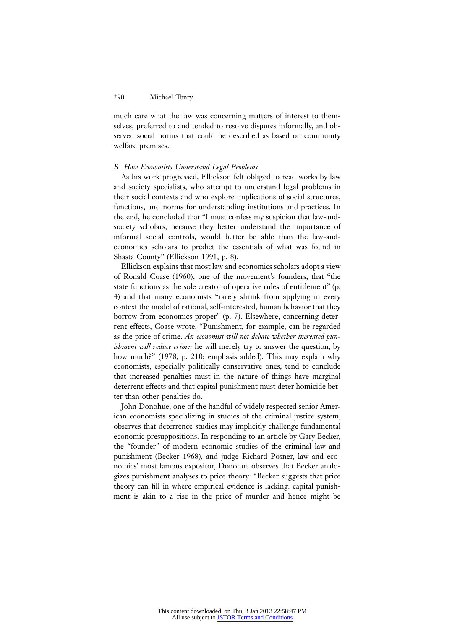much care what the law was concerning matters of interest to themselves, preferred to and tended to resolve disputes informally, and observed social norms that could be described as based on community welfare premises.

#### *B. How Economists Understand Legal Problems*

As his work progressed, Ellickson felt obliged to read works by law and society specialists, who attempt to understand legal problems in their social contexts and who explore implications of social structures, functions, and norms for understanding institutions and practices. In the end, he concluded that "I must confess my suspicion that law-andsociety scholars, because they better understand the importance of informal social controls, would better be able than the law-andeconomics scholars to predict the essentials of what was found in Shasta County" (Ellickson 1991, p. 8).

Ellickson explains that most law and economics scholars adopt a view of Ronald Coase (1960), one of the movement's founders, that "the state functions as the sole creator of operative rules of entitlement" (p. 4) and that many economists "rarely shrink from applying in every context the model of rational, self-interested, human behavior that they borrow from economics proper" (p. 7). Elsewhere, concerning deterrent effects, Coase wrote, "Punishment, for example, can be regarded as the price of crime. *An economist will not debate whether increased punishment will reduce crime;* he will merely try to answer the question, by how much?" (1978, p. 210; emphasis added). This may explain why economists, especially politically conservative ones, tend to conclude that increased penalties must in the nature of things have marginal deterrent effects and that capital punishment must deter homicide better than other penalties do.

John Donohue, one of the handful of widely respected senior American economists specializing in studies of the criminal justice system, observes that deterrence studies may implicitly challenge fundamental economic presuppositions. In responding to an article by Gary Becker, the "founder" of modern economic studies of the criminal law and punishment (Becker 1968), and judge Richard Posner, law and economics' most famous expositor, Donohue observes that Becker analogizes punishment analyses to price theory: "Becker suggests that price theory can fill in where empirical evidence is lacking: capital punishment is akin to a rise in the price of murder and hence might be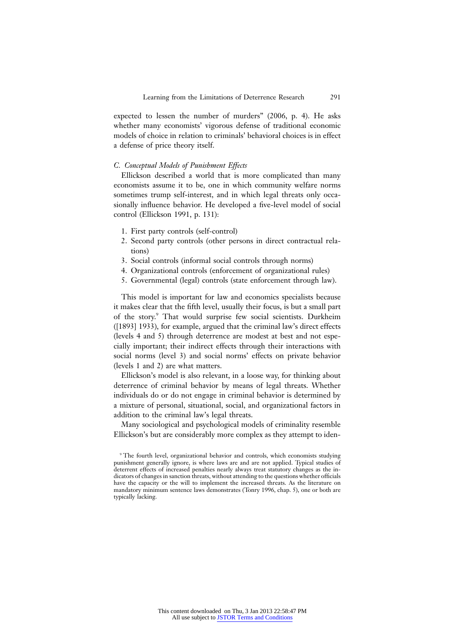expected to lessen the number of murders" (2006, p. 4). He asks whether many economists' vigorous defense of traditional economic models of choice in relation to criminals' behavioral choices is in effect a defense of price theory itself.

#### *C. Conceptual Models of Punishment Effects*

Ellickson described a world that is more complicated than many economists assume it to be, one in which community welfare norms sometimes trump self-interest, and in which legal threats only occasionally influence behavior. He developed a five-level model of social control (Ellickson 1991, p. 131):

- 1. First party controls (self-control)
- 2. Second party controls (other persons in direct contractual relations)
- 3. Social controls (informal social controls through norms)
- 4. Organizational controls (enforcement of organizational rules)
- 5. Governmental (legal) controls (state enforcement through law).

This model is important for law and economics specialists because it makes clear that the fifth level, usually their focus, is but a small part of the story.9 That would surprise few social scientists. Durkheim ([1893] 1933), for example, argued that the criminal law's direct effects (levels 4 and 5) through deterrence are modest at best and not especially important; their indirect effects through their interactions with social norms (level 3) and social norms' effects on private behavior (levels 1 and 2) are what matters.

Ellickson's model is also relevant, in a loose way, for thinking about deterrence of criminal behavior by means of legal threats. Whether individuals do or do not engage in criminal behavior is determined by a mixture of personal, situational, social, and organizational factors in addition to the criminal law's legal threats.

Many sociological and psychological models of criminality resemble Ellickson's but are considerably more complex as they attempt to iden-

<sup>9</sup> The fourth level, organizational behavior and controls, which economists studying punishment generally ignore, is where laws are and are not applied. Typical studies of deterrent effects of increased penalties nearly always treat statutory changes as the indicators of changes in sanction threats, without attending to the questions whether officials have the capacity or the will to implement the increased threats. As the literature on mandatory minimum sentence laws demonstrates (Tonry 1996, chap. 5), one or both are typically lacking.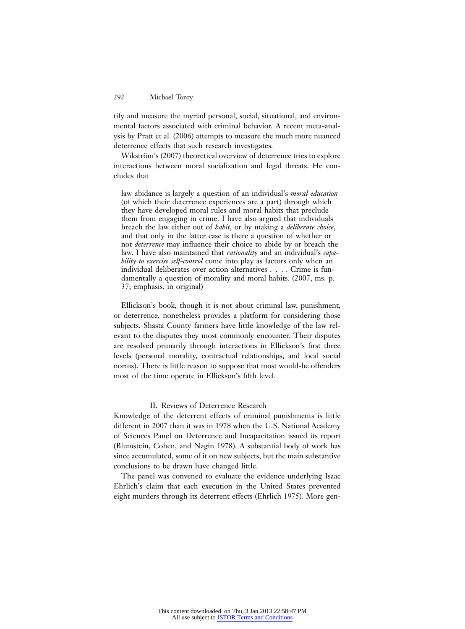tify and measure the myriad personal, social, situational, and environmental factors associated with criminal behavior. A recent meta-analysis by Pratt et al. (2006) attempts to measure the much more nuanced deterrence effects that such research investigates.

Wikström's (2007) theoretical overview of deterrence tries to explore interactions between moral socialization and legal threats. He concludes that

law abidance is largely a question of an individual's *moral education* (of which their deterrence experiences are a part) through which they have developed moral rules and moral habits that preclude them from engaging in crime. I have also argued that individuals breach the law either out of *habit*, or by making a *deliberate choice*, and that only in the latter case is there a question of whether or not *deterrence* may influence their choice to abide by or breach the law. I have also maintained that *rationality* and an individual's *capability to exercise self-control* come into play as factors only when an individual deliberates over action alternatives . . . . Crime is fundamentally a question of morality and moral habits. (2007, ms. p. 37; emphasis. in original)

Ellickson's book, though it is not about criminal law, punishment, or deterrence, nonetheless provides a platform for considering those subjects. Shasta County farmers have little knowledge of the law relevant to the disputes they most commonly encounter. Their disputes are resolved primarily through interactions in Ellickson's first three levels (personal morality, contractual relationships, and local social norms). There is little reason to suppose that most would-be offenders most of the time operate in Ellickson's fifth level.

# II. Reviews of Deterrence Research

Knowledge of the deterrent effects of criminal punishments is little different in 2007 than it was in 1978 when the U.S. National Academy of Sciences Panel on Deterrence and Incapacitation issued its report (Blumstein, Cohen, and Nagin 1978). A substantial body of work has since accumulated, some of it on new subjects, but the main substantive conclusions to be drawn have changed little.

The panel was convened to evaluate the evidence underlying Isaac Ehrlich's claim that each execution in the United States prevented eight murders through its deterrent effects (Ehrlich 1975). More gen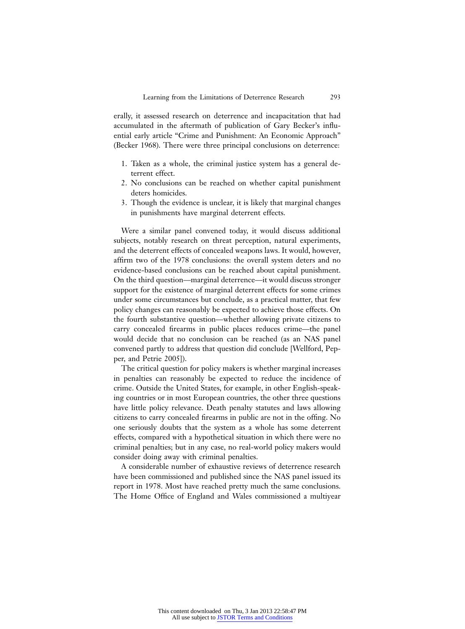erally, it assessed research on deterrence and incapacitation that had accumulated in the aftermath of publication of Gary Becker's influential early article "Crime and Punishment: An Economic Approach" (Becker 1968). There were three principal conclusions on deterrence:

- 1. Taken as a whole, the criminal justice system has a general deterrent effect.
- 2. No conclusions can be reached on whether capital punishment deters homicides.
- 3. Though the evidence is unclear, it is likely that marginal changes in punishments have marginal deterrent effects.

Were a similar panel convened today, it would discuss additional subjects, notably research on threat perception, natural experiments, and the deterrent effects of concealed weapons laws. It would, however, affirm two of the 1978 conclusions: the overall system deters and no evidence-based conclusions can be reached about capital punishment. On the third question—marginal deterrence—it would discuss stronger support for the existence of marginal deterrent effects for some crimes under some circumstances but conclude, as a practical matter, that few policy changes can reasonably be expected to achieve those effects. On the fourth substantive question—whether allowing private citizens to carry concealed firearms in public places reduces crime—the panel would decide that no conclusion can be reached (as an NAS panel convened partly to address that question did conclude [Wellford, Pepper, and Petrie 2005]).

The critical question for policy makers is whether marginal increases in penalties can reasonably be expected to reduce the incidence of crime. Outside the United States, for example, in other English-speaking countries or in most European countries, the other three questions have little policy relevance. Death penalty statutes and laws allowing citizens to carry concealed firearms in public are not in the offing. No one seriously doubts that the system as a whole has some deterrent effects, compared with a hypothetical situation in which there were no criminal penalties; but in any case, no real-world policy makers would consider doing away with criminal penalties.

A considerable number of exhaustive reviews of deterrence research have been commissioned and published since the NAS panel issued its report in 1978. Most have reached pretty much the same conclusions. The Home Office of England and Wales commissioned a multiyear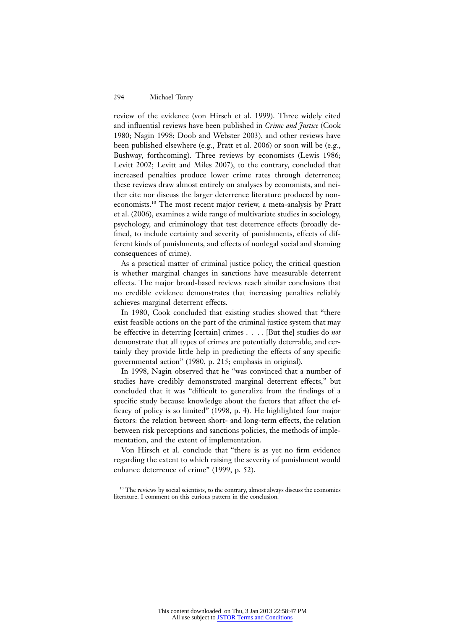review of the evidence (von Hirsch et al. 1999). Three widely cited and influential reviews have been published in *Crime and Justice* (Cook 1980; Nagin 1998; Doob and Webster 2003), and other reviews have been published elsewhere (e.g., Pratt et al. 2006) or soon will be (e.g., Bushway, forthcoming). Three reviews by economists (Lewis 1986; Levitt 2002; Levitt and Miles 2007), to the contrary, concluded that increased penalties produce lower crime rates through deterrence; these reviews draw almost entirely on analyses by economists, and neither cite nor discuss the larger deterrence literature produced by noneconomists.<sup>10</sup> The most recent major review, a meta-analysis by Pratt et al. (2006), examines a wide range of multivariate studies in sociology, psychology, and criminology that test deterrence effects (broadly defined, to include certainty and severity of punishments, effects of different kinds of punishments, and effects of nonlegal social and shaming consequences of crime).

As a practical matter of criminal justice policy, the critical question is whether marginal changes in sanctions have measurable deterrent effects. The major broad-based reviews reach similar conclusions that no credible evidence demonstrates that increasing penalties reliably achieves marginal deterrent effects.

In 1980, Cook concluded that existing studies showed that "there exist feasible actions on the part of the criminal justice system that may be effective in deterring [certain] crimes . . . . [But the] studies do *not* demonstrate that all types of crimes are potentially deterrable, and certainly they provide little help in predicting the effects of any specific governmental action" (1980, p. 215; emphasis in original).

In 1998, Nagin observed that he "was convinced that a number of studies have credibly demonstrated marginal deterrent effects," but concluded that it was "difficult to generalize from the findings of a specific study because knowledge about the factors that affect the efficacy of policy is so limited" (1998, p. 4). He highlighted four major factors: the relation between short- and long-term effects, the relation between risk perceptions and sanctions policies, the methods of implementation, and the extent of implementation.

Von Hirsch et al. conclude that "there is as yet no firm evidence regarding the extent to which raising the severity of punishment would enhance deterrence of crime" (1999, p. 52).

<sup>&</sup>lt;sup>10</sup> The reviews by social scientists, to the contrary, almost always discuss the economics literature. I comment on this curious pattern in the conclusion.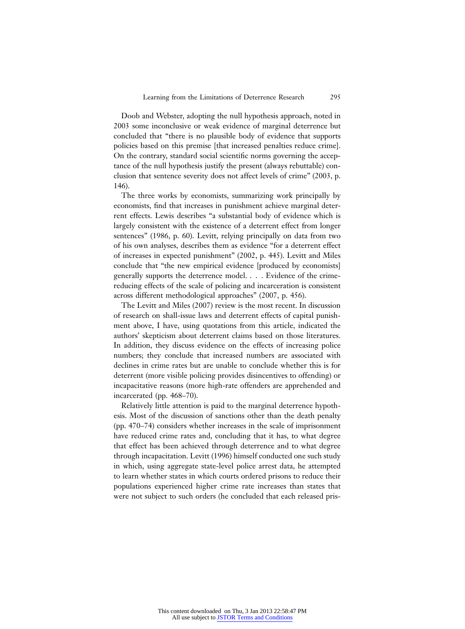Doob and Webster, adopting the null hypothesis approach, noted in 2003 some inconclusive or weak evidence of marginal deterrence but concluded that "there is no plausible body of evidence that supports policies based on this premise [that increased penalties reduce crime]. On the contrary, standard social scientific norms governing the acceptance of the null hypothesis justify the present (always rebuttable) conclusion that sentence severity does not affect levels of crime" (2003, p. 146).

The three works by economists, summarizing work principally by economists, find that increases in punishment achieve marginal deterrent effects. Lewis describes "a substantial body of evidence which is largely consistent with the existence of a deterrent effect from longer sentences" (1986, p. 60). Levitt, relying principally on data from two of his own analyses, describes them as evidence "for a deterrent effect of increases in expected punishment" (2002, p. 445). Levitt and Miles conclude that "the new empirical evidence [produced by economists] generally supports the deterrence model. . . . Evidence of the crimereducing effects of the scale of policing and incarceration is consistent across different methodological approaches" (2007, p. 456).

The Levitt and Miles (2007) review is the most recent. In discussion of research on shall-issue laws and deterrent effects of capital punishment above, I have, using quotations from this article, indicated the authors' skepticism about deterrent claims based on those literatures. In addition, they discuss evidence on the effects of increasing police numbers; they conclude that increased numbers are associated with declines in crime rates but are unable to conclude whether this is for deterrent (more visible policing provides disincentives to offending) or incapacitative reasons (more high-rate offenders are apprehended and incarcerated (pp. 468–70).

Relatively little attention is paid to the marginal deterrence hypothesis. Most of the discussion of sanctions other than the death penalty (pp. 470–74) considers whether increases in the scale of imprisonment have reduced crime rates and, concluding that it has, to what degree that effect has been achieved through deterrence and to what degree through incapacitation. Levitt (1996) himself conducted one such study in which, using aggregate state-level police arrest data, he attempted to learn whether states in which courts ordered prisons to reduce their populations experienced higher crime rate increases than states that were not subject to such orders (he concluded that each released pris-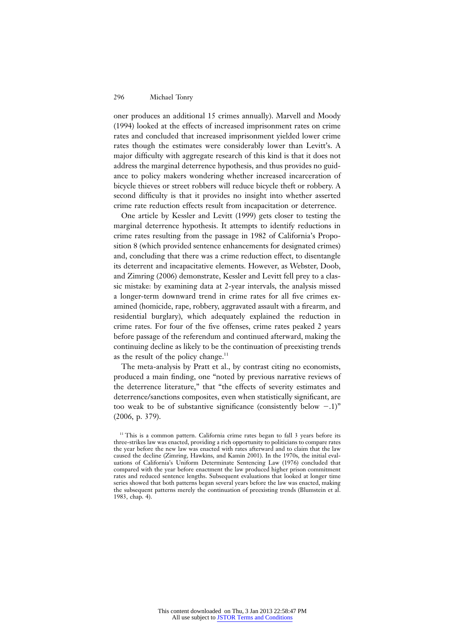oner produces an additional 15 crimes annually). Marvell and Moody (1994) looked at the effects of increased imprisonment rates on crime rates and concluded that increased imprisonment yielded lower crime rates though the estimates were considerably lower than Levitt's. A major difficulty with aggregate research of this kind is that it does not address the marginal deterrence hypothesis, and thus provides no guidance to policy makers wondering whether increased incarceration of bicycle thieves or street robbers will reduce bicycle theft or robbery. A second difficulty is that it provides no insight into whether asserted crime rate reduction effects result from incapacitation or deterrence.

One article by Kessler and Levitt (1999) gets closer to testing the marginal deterrence hypothesis. It attempts to identify reductions in crime rates resulting from the passage in 1982 of California's Proposition 8 (which provided sentence enhancements for designated crimes) and, concluding that there was a crime reduction effect, to disentangle its deterrent and incapacitative elements. However, as Webster, Doob, and Zimring (2006) demonstrate, Kessler and Levitt fell prey to a classic mistake: by examining data at 2-year intervals, the analysis missed a longer-term downward trend in crime rates for all five crimes examined (homicide, rape, robbery, aggravated assault with a firearm, and residential burglary), which adequately explained the reduction in crime rates. For four of the five offenses, crime rates peaked 2 years before passage of the referendum and continued afterward, making the continuing decline as likely to be the continuation of preexisting trends as the result of the policy change. $11$ 

The meta-analysis by Pratt et al., by contrast citing no economists, produced a main finding, one "noted by previous narrative reviews of the deterrence literature," that "the effects of severity estimates and deterrence/sanctions composites, even when statistically significant, are too weak to be of substantive significance (consistently below  $-.1$ )" (2006, p. 379).

<sup>&</sup>lt;sup>11</sup> This is a common pattern. California crime rates began to fall 3 years before its three-strikes law was enacted, providing a rich opportunity to politicians to compare rates the year before the new law was enacted with rates afterward and to claim that the law caused the decline (Zimring, Hawkins, and Kamin 2001). In the 1970s, the initial evaluations of California's Uniform Determinate Sentencing Law (1976) concluded that compared with the year before enactment the law produced higher prison commitment rates and reduced sentence lengths. Subsequent evaluations that looked at longer time series showed that both patterns began several years before the law was enacted, making the subsequent patterns merely the continuation of preexisting trends (Blumstein et al. 1983, chap. 4).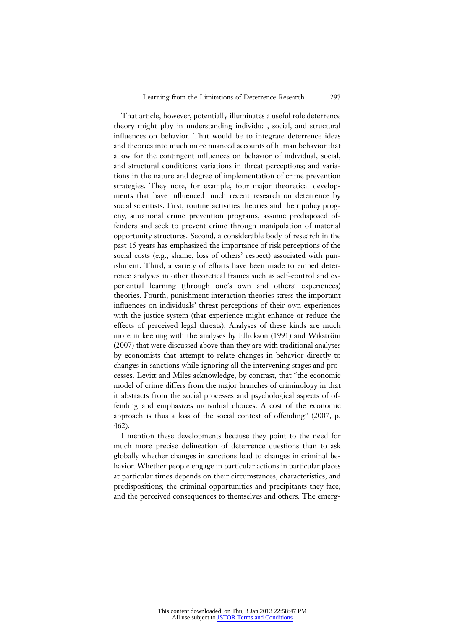That article, however, potentially illuminates a useful role deterrence theory might play in understanding individual, social, and structural influences on behavior. That would be to integrate deterrence ideas and theories into much more nuanced accounts of human behavior that allow for the contingent influences on behavior of individual, social, and structural conditions; variations in threat perceptions; and variations in the nature and degree of implementation of crime prevention strategies. They note, for example, four major theoretical developments that have influenced much recent research on deterrence by social scientists. First, routine activities theories and their policy progeny, situational crime prevention programs, assume predisposed offenders and seek to prevent crime through manipulation of material opportunity structures. Second, a considerable body of research in the past 15 years has emphasized the importance of risk perceptions of the social costs (e.g., shame, loss of others' respect) associated with punishment. Third, a variety of efforts have been made to embed deterrence analyses in other theoretical frames such as self-control and experiential learning (through one's own and others' experiences) theories. Fourth, punishment interaction theories stress the important influences on individuals' threat perceptions of their own experiences with the justice system (that experience might enhance or reduce the effects of perceived legal threats). Analyses of these kinds are much more in keeping with the analyses by Ellickson (1991) and Wikström (2007) that were discussed above than they are with traditional analyses by economists that attempt to relate changes in behavior directly to changes in sanctions while ignoring all the intervening stages and processes. Levitt and Miles acknowledge, by contrast, that "the economic model of crime differs from the major branches of criminology in that it abstracts from the social processes and psychological aspects of offending and emphasizes individual choices. A cost of the economic approach is thus a loss of the social context of offending" (2007, p. 462).

I mention these developments because they point to the need for much more precise delineation of deterrence questions than to ask globally whether changes in sanctions lead to changes in criminal behavior. Whether people engage in particular actions in particular places at particular times depends on their circumstances, characteristics, and predispositions; the criminal opportunities and precipitants they face; and the perceived consequences to themselves and others. The emerg-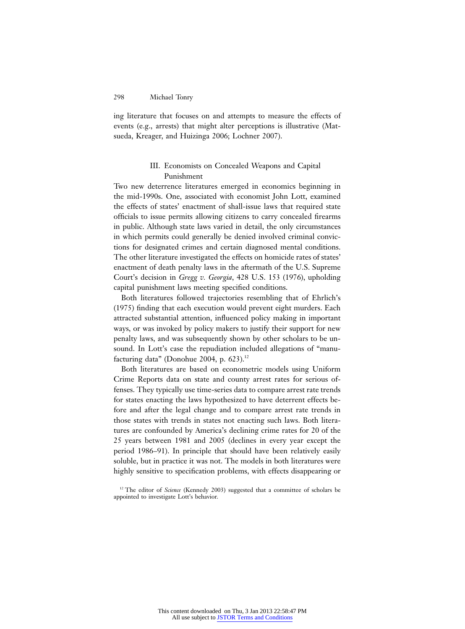ing literature that focuses on and attempts to measure the effects of events (e.g., arrests) that might alter perceptions is illustrative (Matsueda, Kreager, and Huizinga 2006; Lochner 2007).

# III. Economists on Concealed Weapons and Capital Punishment

Two new deterrence literatures emerged in economics beginning in the mid-1990s. One, associated with economist John Lott, examined the effects of states' enactment of shall-issue laws that required state officials to issue permits allowing citizens to carry concealed firearms in public. Although state laws varied in detail, the only circumstances in which permits could generally be denied involved criminal convictions for designated crimes and certain diagnosed mental conditions. The other literature investigated the effects on homicide rates of states' enactment of death penalty laws in the aftermath of the U.S. Supreme Court's decision in *Gregg v. Georgia*, 428 U.S. 153 (1976), upholding capital punishment laws meeting specified conditions.

Both literatures followed trajectories resembling that of Ehrlich's (1975) finding that each execution would prevent eight murders. Each attracted substantial attention, influenced policy making in important ways, or was invoked by policy makers to justify their support for new penalty laws, and was subsequently shown by other scholars to be unsound. In Lott's case the repudiation included allegations of "manufacturing data" (Donohue 2004, p.  $623$ ).<sup>12</sup>

Both literatures are based on econometric models using Uniform Crime Reports data on state and county arrest rates for serious offenses. They typically use time-series data to compare arrest rate trends for states enacting the laws hypothesized to have deterrent effects before and after the legal change and to compare arrest rate trends in those states with trends in states not enacting such laws. Both literatures are confounded by America's declining crime rates for 20 of the 25 years between 1981 and 2005 (declines in every year except the period 1986–91). In principle that should have been relatively easily soluble, but in practice it was not. The models in both literatures were highly sensitive to specification problems, with effects disappearing or

<sup>&</sup>lt;sup>12</sup> The editor of *Science* (Kennedy 2003) suggested that a committee of scholars be appointed to investigate Lott's behavior.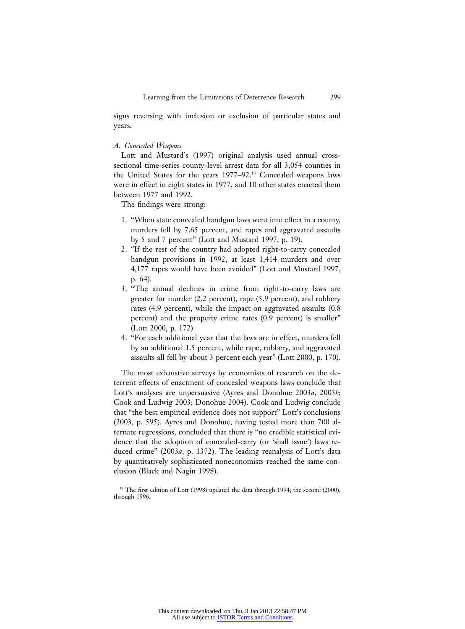signs reversing with inclusion or exclusion of particular states and years.

#### *A. Concealed Weapons*

Lott and Mustard's (1997) original analysis used annual crosssectional time-series county-level arrest data for all 3,054 counties in the United States for the years 1977–92.13 Concealed weapons laws were in effect in eight states in 1977, and 10 other states enacted them between 1977 and 1992.

The findings were strong:

- 1. "When state concealed handgun laws went into effect in a county, murders fell by 7.65 percent, and rapes and aggravated assaults by 5 and 7 percent" (Lott and Mustard 1997, p. 19).
- 2. "If the rest of the country had adopted right-to-carry concealed handgun provisions in 1992, at least 1,414 murders and over 4,177 rapes would have been avoided" (Lott and Mustard 1997, p. 64).
- 3. "The annual declines in crime from right-to-carry laws are greater for murder (2.2 percent), rape (3.9 percent), and robbery rates (4.9 percent), while the impact on aggravated assaults (0.8 percent) and the property crime rates (0.9 percent) is smaller" (Lott 2000, p. 172).
- 4. "For each additional year that the laws are in effect, murders fell by an additional 1.5 percent, while rape, robbery, and aggravated assaults all fell by about 3 percent each year" (Lott 2000, p. 170).

The most exhaustive surveys by economists of research on the deterrent effects of enactment of concealed weapons laws conclude that Lott's analyses are unpersuasive (Ayres and Donohue 2003*a*, 2003*b*; Cook and Ludwig 2003; Donohue 2004). Cook and Ludwig conclude that "the best empirical evidence does not support" Lott's conclusions (2003, p. 595). Ayres and Donohue, having tested more than 700 alternate regressions, concluded that there is "no credible statistical evidence that the adoption of concealed-carry (or 'shall issue') laws reduced crime" (2003*a*, p. 1372). The leading reanalysis of Lott's data by quantitatively sophisticated noneconomists reached the same conclusion (Black and Nagin 1998).

<sup>13</sup> The first edition of Lott (1998) updated the data through 1994; the second (2000), through 1996.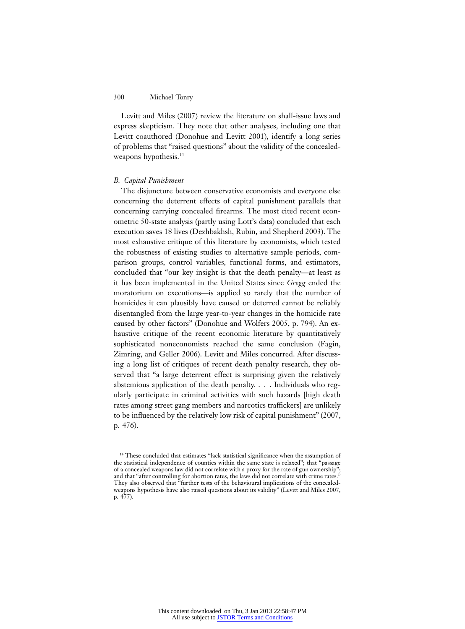Levitt and Miles (2007) review the literature on shall-issue laws and express skepticism. They note that other analyses, including one that Levitt coauthored (Donohue and Levitt 2001), identify a long series of problems that "raised questions" about the validity of the concealedweapons hypothesis.<sup>14</sup>

#### *B. Capital Punishment*

The disjuncture between conservative economists and everyone else concerning the deterrent effects of capital punishment parallels that concerning carrying concealed firearms. The most cited recent econometric 50-state analysis (partly using Lott's data) concluded that each execution saves 18 lives (Dezhbakhsh, Rubin, and Shepherd 2003). The most exhaustive critique of this literature by economists, which tested the robustness of existing studies to alternative sample periods, comparison groups, control variables, functional forms, and estimators, concluded that "our key insight is that the death penalty—at least as it has been implemented in the United States since *Gregg* ended the moratorium on executions—is applied so rarely that the number of homicides it can plausibly have caused or deterred cannot be reliably disentangled from the large year-to-year changes in the homicide rate caused by other factors" (Donohue and Wolfers 2005, p. 794). An exhaustive critique of the recent economic literature by quantitatively sophisticated noneconomists reached the same conclusion (Fagin, Zimring, and Geller 2006). Levitt and Miles concurred. After discussing a long list of critiques of recent death penalty research, they observed that "a large deterrent effect is surprising given the relatively abstemious application of the death penalty. . . . Individuals who regularly participate in criminal activities with such hazards [high death rates among street gang members and narcotics traffickers] are unlikely to be influenced by the relatively low risk of capital punishment" (2007, p. 476).

<sup>&</sup>lt;sup>14</sup> These concluded that estimates "lack statistical significance when the assumption of the statistical independence of counties within the same state is relaxed"; that "passage of a concealed weapons law did not correlate with a proxy for the rate of gun ownership"; and that "after controlling for abortion rates, the laws did not correlate with crime rates." They also observed that "further tests of the behavioural implications of the concealedweapons hypothesis have also raised questions about its validity" (Levitt and Miles 2007, p. 477).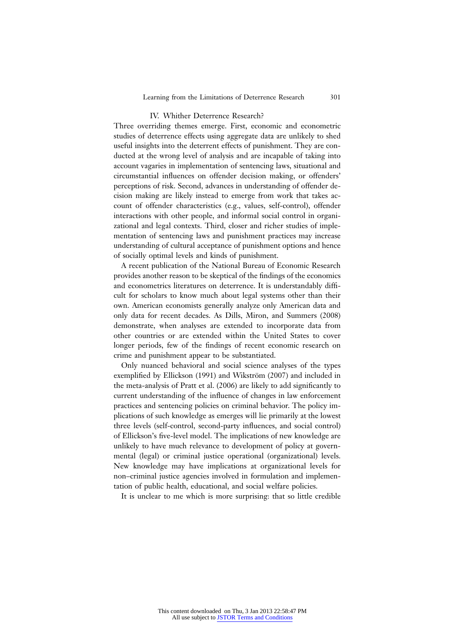#### IV. Whither Deterrence Research?

Three overriding themes emerge. First, economic and econometric studies of deterrence effects using aggregate data are unlikely to shed useful insights into the deterrent effects of punishment. They are conducted at the wrong level of analysis and are incapable of taking into account vagaries in implementation of sentencing laws, situational and circumstantial influences on offender decision making, or offenders' perceptions of risk. Second, advances in understanding of offender decision making are likely instead to emerge from work that takes account of offender characteristics (e.g., values, self-control), offender interactions with other people, and informal social control in organizational and legal contexts. Third, closer and richer studies of implementation of sentencing laws and punishment practices may increase understanding of cultural acceptance of punishment options and hence of socially optimal levels and kinds of punishment.

A recent publication of the National Bureau of Economic Research provides another reason to be skeptical of the findings of the economics and econometrics literatures on deterrence. It is understandably difficult for scholars to know much about legal systems other than their own. American economists generally analyze only American data and only data for recent decades. As Dills, Miron, and Summers (2008) demonstrate, when analyses are extended to incorporate data from other countries or are extended within the United States to cover longer periods, few of the findings of recent economic research on crime and punishment appear to be substantiated.

Only nuanced behavioral and social science analyses of the types exemplified by Ellickson (1991) and Wikström (2007) and included in the meta-analysis of Pratt et al. (2006) are likely to add significantly to current understanding of the influence of changes in law enforcement practices and sentencing policies on criminal behavior. The policy implications of such knowledge as emerges will lie primarily at the lowest three levels (self-control, second-party influences, and social control) of Ellickson's five-level model. The implications of new knowledge are unlikely to have much relevance to development of policy at governmental (legal) or criminal justice operational (organizational) levels. New knowledge may have implications at organizational levels for non–criminal justice agencies involved in formulation and implementation of public health, educational, and social welfare policies.

It is unclear to me which is more surprising: that so little credible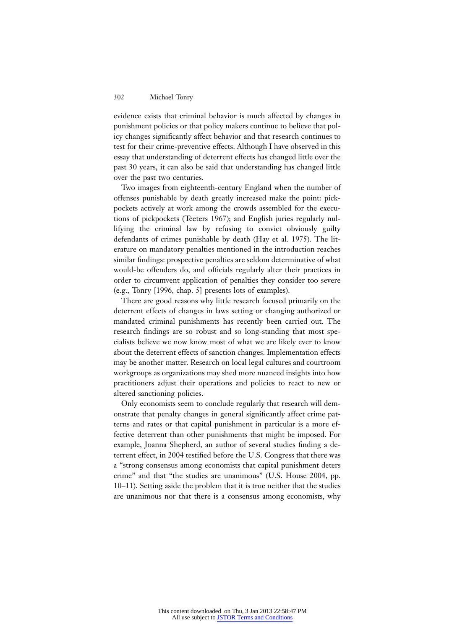evidence exists that criminal behavior is much affected by changes in punishment policies or that policy makers continue to believe that policy changes significantly affect behavior and that research continues to test for their crime-preventive effects. Although I have observed in this essay that understanding of deterrent effects has changed little over the past 30 years, it can also be said that understanding has changed little over the past two centuries.

Two images from eighteenth-century England when the number of offenses punishable by death greatly increased make the point: pickpockets actively at work among the crowds assembled for the executions of pickpockets (Teeters 1967); and English juries regularly nullifying the criminal law by refusing to convict obviously guilty defendants of crimes punishable by death (Hay et al. 1975). The literature on mandatory penalties mentioned in the introduction reaches similar findings: prospective penalties are seldom determinative of what would-be offenders do, and officials regularly alter their practices in order to circumvent application of penalties they consider too severe (e.g., Tonry [1996, chap. 5] presents lots of examples).

There are good reasons why little research focused primarily on the deterrent effects of changes in laws setting or changing authorized or mandated criminal punishments has recently been carried out. The research findings are so robust and so long-standing that most specialists believe we now know most of what we are likely ever to know about the deterrent effects of sanction changes. Implementation effects may be another matter. Research on local legal cultures and courtroom workgroups as organizations may shed more nuanced insights into how practitioners adjust their operations and policies to react to new or altered sanctioning policies.

Only economists seem to conclude regularly that research will demonstrate that penalty changes in general significantly affect crime patterns and rates or that capital punishment in particular is a more effective deterrent than other punishments that might be imposed. For example, Joanna Shepherd, an author of several studies finding a deterrent effect, in 2004 testified before the U.S. Congress that there was a "strong consensus among economists that capital punishment deters crime" and that "the studies are unanimous" (U.S. House 2004, pp. 10–11). Setting aside the problem that it is true neither that the studies are unanimous nor that there is a consensus among economists, why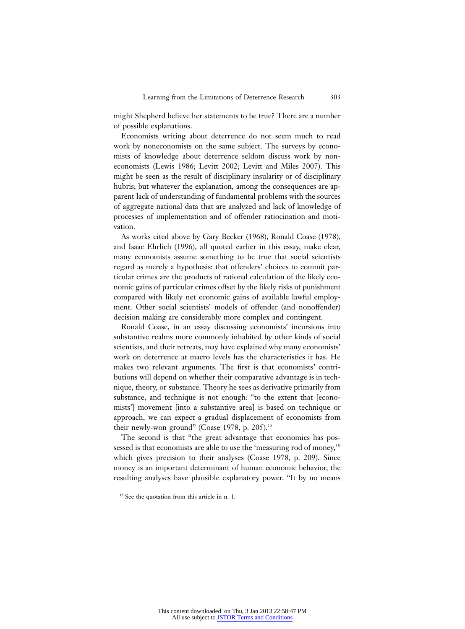might Shepherd believe her statements to be true? There are a number of possible explanations.

Economists writing about deterrence do not seem much to read work by noneconomists on the same subject. The surveys by economists of knowledge about deterrence seldom discuss work by noneconomists (Lewis 1986; Levitt 2002; Levitt and Miles 2007). This might be seen as the result of disciplinary insularity or of disciplinary hubris; but whatever the explanation, among the consequences are apparent lack of understanding of fundamental problems with the sources of aggregate national data that are analyzed and lack of knowledge of processes of implementation and of offender ratiocination and motivation.

As works cited above by Gary Becker (1968), Ronald Coase (1978), and Isaac Ehrlich (1996), all quoted earlier in this essay, make clear, many economists assume something to be true that social scientists regard as merely a hypothesis: that offenders' choices to commit particular crimes are the products of rational calculation of the likely economic gains of particular crimes offset by the likely risks of punishment compared with likely net economic gains of available lawful employment. Other social scientists' models of offender (and nonoffender) decision making are considerably more complex and contingent.

Ronald Coase, in an essay discussing economists' incursions into substantive realms more commonly inhabited by other kinds of social scientists, and their retreats, may have explained why many economists' work on deterrence at macro levels has the characteristics it has. He makes two relevant arguments. The first is that economists' contributions will depend on whether their comparative advantage is in technique, theory, or substance. Theory he sees as derivative primarily from substance, and technique is not enough: "to the extent that [economists'] movement [into a substantive area] is based on technique or approach, we can expect a gradual displacement of economists from their newly-won ground" (Coase 1978, p. 205).<sup>15</sup>

The second is that "the great advantage that economics has possessed is that economists are able to use the 'measuring rod of money,'" which gives precision to their analyses (Coase 1978, p. 209). Since money is an important determinant of human economic behavior, the resulting analyses have plausible explanatory power. "It by no means

<sup>&</sup>lt;sup>15</sup> See the quotation from this article in n. 1.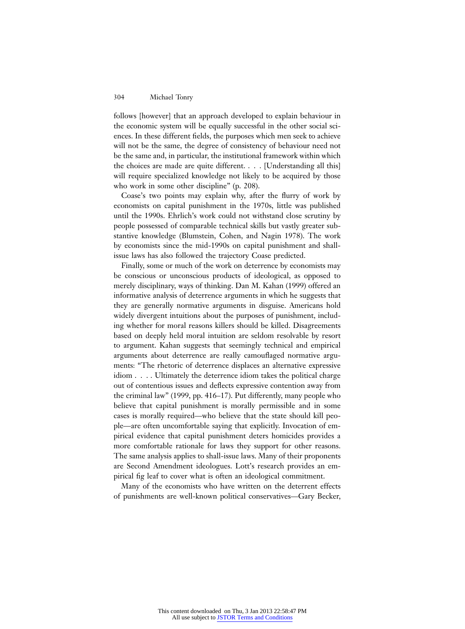follows [however] that an approach developed to explain behaviour in the economic system will be equally successful in the other social sciences. In these different fields, the purposes which men seek to achieve will not be the same, the degree of consistency of behaviour need not be the same and, in particular, the institutional framework within which the choices are made are quite different. . . . [Understanding all this] will require specialized knowledge not likely to be acquired by those who work in some other discipline" (p. 208).

Coase's two points may explain why, after the flurry of work by economists on capital punishment in the 1970s, little was published until the 1990s. Ehrlich's work could not withstand close scrutiny by people possessed of comparable technical skills but vastly greater substantive knowledge (Blumstein, Cohen, and Nagin 1978). The work by economists since the mid-1990s on capital punishment and shallissue laws has also followed the trajectory Coase predicted.

Finally, some or much of the work on deterrence by economists may be conscious or unconscious products of ideological, as opposed to merely disciplinary, ways of thinking. Dan M. Kahan (1999) offered an informative analysis of deterrence arguments in which he suggests that they are generally normative arguments in disguise. Americans hold widely divergent intuitions about the purposes of punishment, including whether for moral reasons killers should be killed. Disagreements based on deeply held moral intuition are seldom resolvable by resort to argument. Kahan suggests that seemingly technical and empirical arguments about deterrence are really camouflaged normative arguments: "The rhetoric of deterrence displaces an alternative expressive idiom . . . . Ultimately the deterrence idiom takes the political charge out of contentious issues and deflects expressive contention away from the criminal law" (1999, pp. 416–17). Put differently, many people who believe that capital punishment is morally permissible and in some cases is morally required—who believe that the state should kill people—are often uncomfortable saying that explicitly. Invocation of empirical evidence that capital punishment deters homicides provides a more comfortable rationale for laws they support for other reasons. The same analysis applies to shall-issue laws. Many of their proponents are Second Amendment ideologues. Lott's research provides an empirical fig leaf to cover what is often an ideological commitment.

Many of the economists who have written on the deterrent effects of punishments are well-known political conservatives—Gary Becker,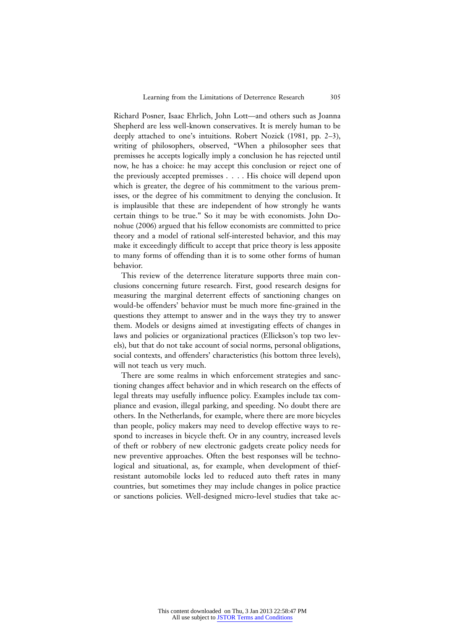Richard Posner, Isaac Ehrlich, John Lott—and others such as Joanna Shepherd are less well-known conservatives. It is merely human to be deeply attached to one's intuitions. Robert Nozick (1981, pp. 2–3), writing of philosophers, observed, "When a philosopher sees that premisses he accepts logically imply a conclusion he has rejected until now, he has a choice: he may accept this conclusion or reject one of the previously accepted premisses . . . . His choice will depend upon which is greater, the degree of his commitment to the various premisses, or the degree of his commitment to denying the conclusion. It is implausible that these are independent of how strongly he wants certain things to be true." So it may be with economists. John Donohue (2006) argued that his fellow economists are committed to price theory and a model of rational self-interested behavior, and this may make it exceedingly difficult to accept that price theory is less apposite to many forms of offending than it is to some other forms of human behavior.

This review of the deterrence literature supports three main conclusions concerning future research. First, good research designs for measuring the marginal deterrent effects of sanctioning changes on would-be offenders' behavior must be much more fine-grained in the questions they attempt to answer and in the ways they try to answer them. Models or designs aimed at investigating effects of changes in laws and policies or organizational practices (Ellickson's top two levels), but that do not take account of social norms, personal obligations, social contexts, and offenders' characteristics (his bottom three levels), will not teach us very much.

There are some realms in which enforcement strategies and sanctioning changes affect behavior and in which research on the effects of legal threats may usefully influence policy. Examples include tax compliance and evasion, illegal parking, and speeding. No doubt there are others. In the Netherlands, for example, where there are more bicycles than people, policy makers may need to develop effective ways to respond to increases in bicycle theft. Or in any country, increased levels of theft or robbery of new electronic gadgets create policy needs for new preventive approaches. Often the best responses will be technological and situational, as, for example, when development of thiefresistant automobile locks led to reduced auto theft rates in many countries, but sometimes they may include changes in police practice or sanctions policies. Well-designed micro-level studies that take ac-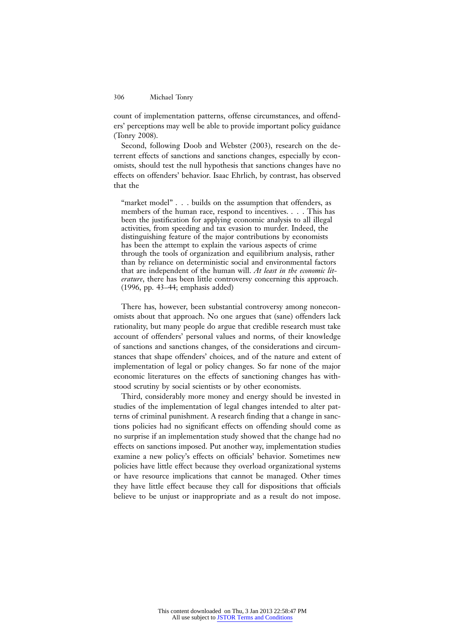count of implementation patterns, offense circumstances, and offenders' perceptions may well be able to provide important policy guidance (Tonry 2008).

Second, following Doob and Webster (2003), research on the deterrent effects of sanctions and sanctions changes, especially by economists, should test the null hypothesis that sanctions changes have no effects on offenders' behavior. Isaac Ehrlich, by contrast, has observed that the

"market model" . . . builds on the assumption that offenders, as members of the human race, respond to incentives. . . . This has been the justification for applying economic analysis to all illegal activities, from speeding and tax evasion to murder. Indeed, the distinguishing feature of the major contributions by economists has been the attempt to explain the various aspects of crime through the tools of organization and equilibrium analysis, rather than by reliance on deterministic social and environmental factors that are independent of the human will. *At least in the economic literature*, there has been little controversy concerning this approach. (1996, pp. 43–44; emphasis added)

There has, however, been substantial controversy among noneconomists about that approach. No one argues that (sane) offenders lack rationality, but many people do argue that credible research must take account of offenders' personal values and norms, of their knowledge of sanctions and sanctions changes, of the considerations and circumstances that shape offenders' choices, and of the nature and extent of implementation of legal or policy changes. So far none of the major economic literatures on the effects of sanctioning changes has withstood scrutiny by social scientists or by other economists.

Third, considerably more money and energy should be invested in studies of the implementation of legal changes intended to alter patterns of criminal punishment. A research finding that a change in sanctions policies had no significant effects on offending should come as no surprise if an implementation study showed that the change had no effects on sanctions imposed. Put another way, implementation studies examine a new policy's effects on officials' behavior. Sometimes new policies have little effect because they overload organizational systems or have resource implications that cannot be managed. Other times they have little effect because they call for dispositions that officials believe to be unjust or inappropriate and as a result do not impose.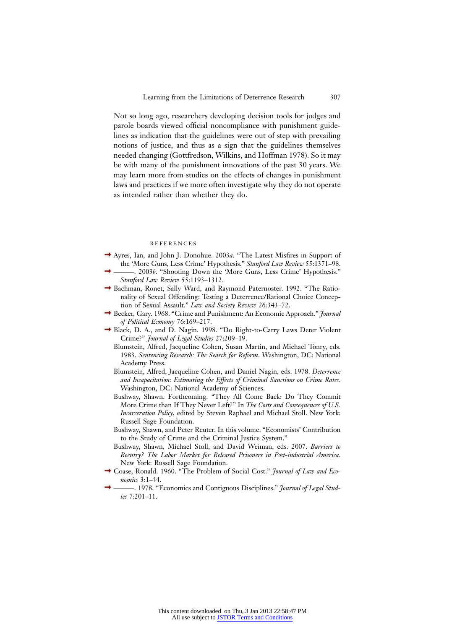Not so long ago, researchers developing decision tools for judges and parole boards viewed official noncompliance with punishment guidelines as indication that the guidelines were out of step with prevailing notions of justice, and thus as a sign that the guidelines themselves needed changing (Gottfredson, Wilkins, and Hoffman 1978). So it may be with many of the punishment innovations of the past 30 years. We may learn more from studies on the effects of changes in punishment laws and practices if we more often investigate why they do not operate as intended rather than whether they do.

#### REFERENCES

- Ayres, Ian, and John J. Donohue. 2003*a*. "The Latest Misfires in Support of the 'More Guns, Less Crime' Hypothesis." *Stanford Law Review* 55:1371–98.
- ———. 2003*b*. "Shooting Down the 'More Guns, Less Crime' Hypothesis." *Stanford Law Review* 55:1193–1312.
- Bachman, Ronet, Sally Ward, and Raymond Paternoster. 1992. "The Rationality of Sexual Offending: Testing a Deterrence/Rational Choice Conception of Sexual Assault." *Law and Society Review* 26:343–72.
- Becker, Gary. 1968. "Crime and Punishment: An Economic Approach." *Journal of Political Economy* 76:169–217.
- Black, D. A., and D. Nagin. 1998. "Do Right-to-Carry Laws Deter Violent Crime?" *Journal of Legal Studies* 27:209–19.
	- Blumstein, Alfred, Jacqueline Cohen, Susan Martin, and Michael Tonry, eds. 1983. *Sentencing Research: The Search for Reform*. Washington, DC: National Academy Press.
	- Blumstein, Alfred, Jacqueline Cohen, and Daniel Nagin, eds. 1978. *Deterrence and Incapacitation: Estimating the Effects of Criminal Sanctions on Crime Rates*. Washington, DC: National Academy of Sciences.
	- Bushway, Shawn. Forthcoming. "They All Come Back: Do They Commit More Crime than If They Never Left?" In *The Costs and Consequences of U.S. Incarceration Policy*, edited by Steven Raphael and Michael Stoll. New York: Russell Sage Foundation.
	- Bushway, Shawn, and Peter Reuter. In this volume. "Economists' Contribution to the Study of Crime and the Criminal Justice System."
	- Bushway, Shawn, Michael Stoll, and David Weiman, eds. 2007. *Barriers to Reentry? The Labor Market for Released Prisoners in Post-industrial America*. New York: Russell Sage Foundation.
- Coase, Ronald. 1960. "The Problem of Social Cost." *Journal of Law and Economics* 3:1–44.
- ———. 1978. "Economics and Contiguous Disciplines." *Journal of Legal Studies* 7:201–11.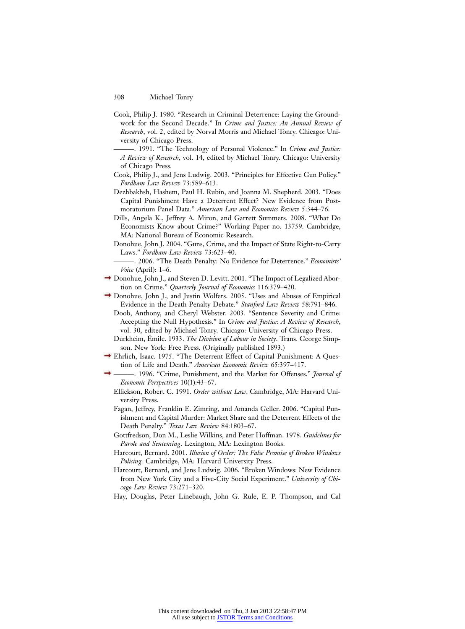- Cook, Philip J. 1980. "Research in Criminal Deterrence: Laying the Groundwork for the Second Decade." In *Crime and Justice: An Annual Review of Research*, vol. 2, edited by Norval Morris and Michael Tonry. Chicago: University of Chicago Press.
- ———. 1991. "The Technology of Personal Violence." In *Crime and Justice: A Review of Research*, vol. 14, edited by Michael Tonry. Chicago: University of Chicago Press.
- Cook, Philip J., and Jens Ludwig. 2003. "Principles for Effective Gun Policy." *Fordham Law Review* 73:589–613.
- Dezhbakhsh, Hashem, Paul H. Rubin, and Joanna M. Shepherd. 2003. "Does Capital Punishment Have a Deterrent Effect? New Evidence from Postmoratorium Panel Data." *American Law and Economics Review* 5:344–76.
- Dills, Angela K., Jeffrey A. Miron, and Garrett Summers. 2008. "What Do Economists Know about Crime?" Working Paper no. 13759. Cambridge, MA: National Bureau of Economic Research.
- Donohue, John J. 2004. "Guns, Crime, and the Impact of State Right-to-Carry Laws." *Fordham Law Review* 73:623–40.
- ———. 2006. "The Death Penalty: No Evidence for Deterrence." *Economists' Voice* (April): 1–6.
- → Donohue, John J., and Steven D. Levitt. 2001. "The Impact of Legalized Abortion on Crime." *Quarterly Journal of Economics* 116:379–420.
- Donohue, John J., and Justin Wolfers. 2005. "Uses and Abuses of Empirical Evidence in the Death Penalty Debate." *Stanford Law Review* 58:791–846.
	- Doob, Anthony, and Cheryl Webster. 2003. "Sentence Severity and Crime: Accepting the Null Hypothesis." In *Crime and Justice: A Review of Research*, vol. 30, edited by Michael Tonry. Chicago: University of Chicago Press.
	- Durkheim, Émile. 1933. *The Division of Labour in Society*. Trans. George Simpson. New York: Free Press. (Originally published 1893.)
- Ehrlich, Isaac. 1975. "The Deterrent Effect of Capital Punishment: A Question of Life and Death." *American Economic Review* 65:397–417.
- ———. 1996. "Crime, Punishment, and the Market for Offenses." *Journal of Economic Perspectives* 10(1):43–67.
- Ellickson, Robert C. 1991. *Order without Law*. Cambridge, MA: Harvard University Press.
- Fagan, Jeffrey, Franklin E. Zimring, and Amanda Geller. 2006. "Capital Punishment and Capital Murder: Market Share and the Deterrent Effects of the Death Penalty." *Texas Law Review* 84:1803–67.
- Gottfredson, Don M., Leslie Wilkins, and Peter Hoffman. 1978. *Guidelines for Parole and Sentencing*. Lexington, MA: Lexington Books.
- Harcourt, Bernard. 2001. *Illusion of Order: The False Promise of Broken Windows Policing.* Cambridge, MA: Harvard University Press.
- Harcourt, Bernard, and Jens Ludwig. 2006. "Broken Windows: New Evidence from New York City and a Five-City Social Experiment." *University of Chicago Law Review* 73:271–320.
- Hay, Douglas, Peter Linebaugh, John G. Rule, E. P. Thompson, and Cal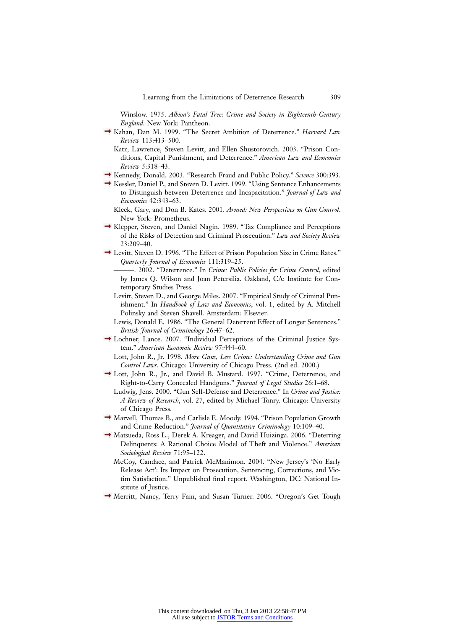Winslow. 1975. *Albion's Fatal Tree: Crime and Society in Eighteenth-Century England*. New York: Pantheon.

- Kahan, Dan M. 1999. "The Secret Ambition of Deterrence." *Harvard Law Review* 113:413–500.
	- Katz, Lawrence, Steven Levitt, and Ellen Shustorovich. 2003. "Prison Conditions, Capital Punishment, and Deterrence." *American Law and Economics Review* 5:318–43.
- Kennedy, Donald. 2003. "Research Fraud and Public Policy." *Science* 300:393.
- Kessler, Daniel P., and Steven D. Levitt. 1999. "Using Sentence Enhancements to Distinguish between Deterrence and Incapacitation." *Journal of Law and Economics* 42:343–63.

Kleck, Gary, and Don B. Kates. 2001. *Armed: New Perspectives on Gun Control*. New York: Prometheus.

- Klepper, Steven, and Daniel Nagin. 1989. "Tax Compliance and Perceptions of the Risks of Detection and Criminal Prosecution." *Law and Society Review* 23:209–40.
- Levitt, Steven D. 1996. "The Effect of Prison Population Size in Crime Rates." *Quarterly Journal of Economics* 111:319–25.

———. 2002. "Deterrence." In *Crime: Public Policies for Crime Control*, edited by James Q. Wilson and Joan Petersilia. Oakland, CA: Institute for Contemporary Studies Press.

- Levitt, Steven D., and George Miles. 2007. "Empirical Study of Criminal Punishment." In *Handbook of Law and Economics*, vol. 1, edited by A. Mitchell Polinsky and Steven Shavell. Amsterdam: Elsevier.
- Lewis, Donald E. 1986. "The General Deterrent Effect of Longer Sentences." *British Journal of Criminology* 26:47–62.
- Lochner, Lance. 2007. "Individual Perceptions of the Criminal Justice System." *American Economic Review* 97:444–60.

Lott, John R., Jr. 1998. *More Guns, Less Crime: Understanding Crime and Gun Control Laws*. Chicago: University of Chicago Press. (2nd ed. 2000.)

- Lott, John R., Jr., and David B. Mustard. 1997. "Crime, Deterrence, and Right-to-Carry Concealed Handguns." *Journal of Legal Studies* 26:1–68.
	- Ludwig, Jens. 2000. "Gun Self-Defense and Deterrence." In *Crime and Justice: A Review of Research*, vol. 27, edited by Michael Tonry. Chicago: University of Chicago Press.
- Marvell, Thomas B., and Carlisle E. Moody. 1994. "Prison Population Growth and Crime Reduction." *Journal of Quantitative Criminology* 10:109–40.
- Matsueda, Ross L., Derek A. Kreager, and David Huizinga. 2006. "Deterring Delinquents: A Rational Choice Model of Theft and Violence." *American Sociological Review* 71:95–122.

McCoy, Candace, and Patrick McManimon. 2004. "New Jersey's 'No Early Release Act': Its Impact on Prosecution, Sentencing, Corrections, and Victim Satisfaction." Unpublished final report. Washington, DC: National Institute of Justice.

Merritt, Nancy, Terry Fain, and Susan Turner. 2006. "Oregon's Get Tough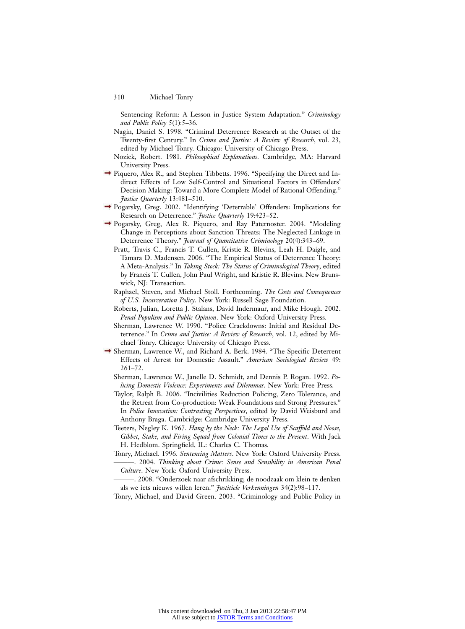Sentencing Reform: A Lesson in Justice System Adaptation." *Criminology and Public Policy* 5(1):5–36.

- Nagin, Daniel S. 1998. "Criminal Deterrence Research at the Outset of the Twenty-first Century." In *Crime and Justice: A Review of Research*, vol. 23, edited by Michael Tonry. Chicago: University of Chicago Press.
- Nozick, Robert. 1981. *Philosophical Explanations*. Cambridge, MA: Harvard University Press.
- $\rightarrow$  Piquero, Alex R., and Stephen Tibbetts. 1996. "Specifying the Direct and Indirect Effects of Low Self-Control and Situational Factors in Offenders' Decision Making: Toward a More Complete Model of Rational Offending." *Justice Quarterly* 13:481–510.
- Pogarsky, Greg. 2002. "Identifying 'Deterrable' Offenders: Implications for Research on Deterrence." *Justice Quarterly* 19:423–52.
- Pogarsky, Greg, Alex R. Piquero, and Ray Paternoster. 2004. "Modeling Change in Perceptions about Sanction Threats: The Neglected Linkage in Deterrence Theory." *Journal of Quantitative Criminology* 20(4):343–69.
	- Pratt, Travis C., Francis T. Cullen, Kristie R. Blevins, Leah H. Daigle, and Tamara D. Madensen. 2006. "The Empirical Status of Deterrence Theory: A Meta-Analysis." In *Taking Stock: The Status of Criminological Theory*, edited by Francis T. Cullen, John Paul Wright, and Kristie R. Blevins. New Brunswick, NJ: Transaction.
	- Raphael, Steven, and Michael Stoll. Forthcoming. *The Costs and Consequences of U.S. Incarceration Policy*. New York: Russell Sage Foundation.
	- Roberts, Julian, Loretta J. Stalans, David Indermaur, and Mike Hough. 2002. *Penal Populism and Public Opinion*. New York: Oxford University Press.
	- Sherman, Lawrence W. 1990. "Police Crackdowns: Initial and Residual Deterrence." In *Crime and Justice: A Review of Research*, vol. 12, edited by Michael Tonry. Chicago: University of Chicago Press.
- Sherman, Lawrence W., and Richard A. Berk. 1984. "The Specific Deterrent Effects of Arrest for Domestic Assault." *American Sociological Review* 49: 261–72.
	- Sherman, Lawrence W., Janelle D. Schmidt, and Dennis P. Rogan. 1992. *Policing Domestic Violence: Experiments and Dilemmas*. New York: Free Press.
	- Taylor, Ralph B. 2006. "Incivilities Reduction Policing, Zero Tolerance, and the Retreat from Co-production: Weak Foundations and Strong Pressures." In *Police Innovation: Contrasting Perspectives*, edited by David Weisburd and Anthony Braga. Cambridge: Cambridge University Press.
	- Teeters, Negley K. 1967. *Hang by the Neck: The Legal Use of Scaffold and Noose, Gibbet, Stake, and Firing Squad from Colonial Times to the Present*. With Jack H. Hedblom. Springfield, IL: Charles C. Thomas.
	- Tonry, Michael. 1996. *Sentencing Matters*. New York: Oxford University Press. ———. 2004. *Thinking about Crime: Sense and Sensibility in American Penal*
	- *Culture*. New York: Oxford University Press. -. 2008. "Onderzoek naar afschrikking; de noodzaak om klein te denken
	- als we iets nieuws willen leren." *Justitiele Verkenningen* 34(2):98–117.

Tonry, Michael, and David Green. 2003. "Criminology and Public Policy in